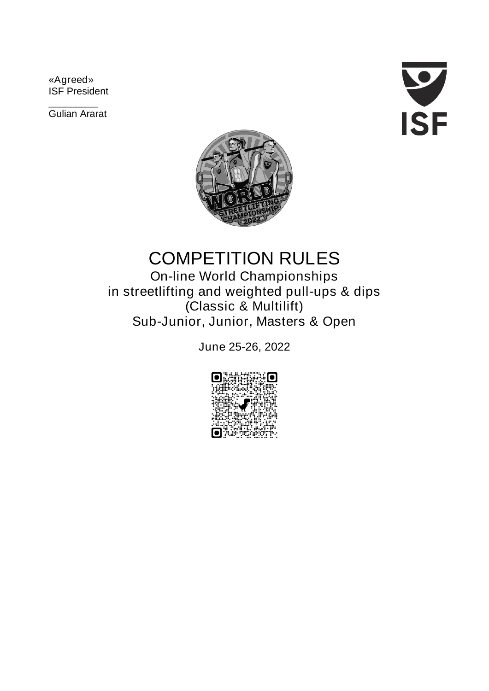**«Agreed» ISF President**

**\_\_\_\_\_\_\_\_\_ Gulian Ararat**





# **COMPETITION RULES**

**On-line World Championships in streetlifting and weighted pull-ups & dips (Classic & Multilift) Sub-Junior, Junior, Masters & Open**

**June 25-26, 2022**

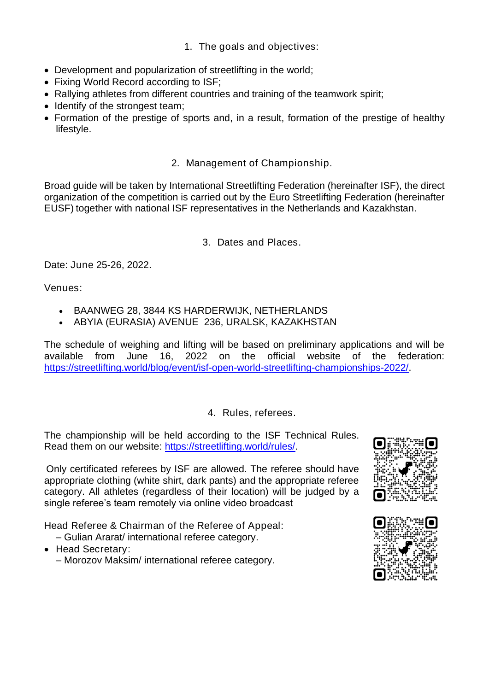- **1. The goals and objectives:**
- **Development and popularization of streetlifting in the world;**
- **Fixing World Record according to ISF;**
- **Rallying athletes from different countries and training of the teamwork spirit;**
- **Identify of the strongest team;**
- **Formation of the prestige of sports and, in a result, formation of the prestige of healthy lifestyle.**

## **2. Management of Championship.**

**Broad guide will be taken by International Streetlifting Federation (hereinafter ISF), the direct organization of the competition is carried out by the Euro Streetlifting Federation (hereinafter EUSF) together with national ISF representatives in the Netherlands and Kazakhstan.**

## **3. Dates and Places.**

**Date: June 25-26, 2022.** 

**Venues:** 

- **BAANWEG 28, 3844 KS HARDERWIJK, NETHERLANDS**
- **ABYIA (EURASIA) AVENUE 236, URALSK, KAZAKHSTAN**

**The schedule of weighing and lifting will be based on preliminary applications and will be available from June 16, 2022 on the official website of the federation: https://streetlifting.world/blog/event/isf-open-world-streetlifting-championships-2022/.** 

## **4. Rules, referees.**

**The championship will be held according to the ISF Technical Rules. Read them on our website: [https://streetlifting.world/rules/.](https://streetlifting.world/rules/)** 

**Only certificated referees by ISF are allowed. The referee should have appropriate clothing (white shirt, dark pants) and the appropriate referee category. All athletes (regardless of their location) will be judged by a single referee's team remotely via online video broadcast**

**Head Referee & Chairman of the Referee of Appeal:**

- **– Gulian Ararat/ international referee category.**
- **Head Secretary:**
	- **– Morozov Maksim/ international referee category.**



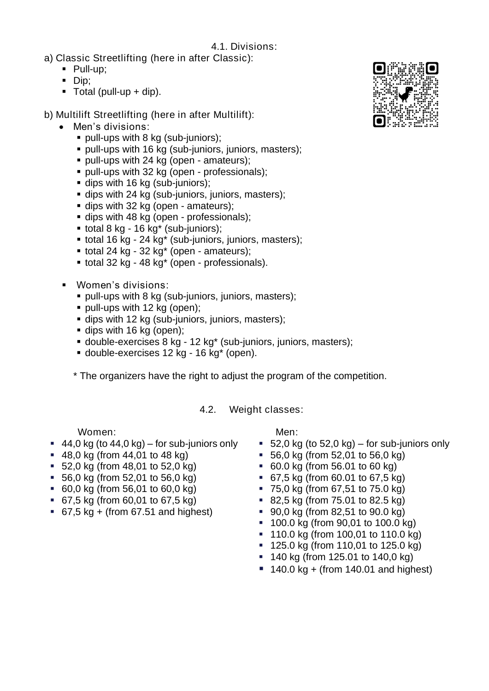**4.1. Divisions:**

- **a) Classic Streetlifting (here in after Classic):**
	- **Pull-up;**
	- **Dip;**
	- **Total (pull-up + dip).**
- **b) Multilift Streetlifting (here in after Multilift):**
	- **Men's divisions:**
		- **pull-ups with 8 kg (sub-juniors);**
		- **pull-ups with 16 kg (sub-juniors, juniors, masters);**
		- **pull-ups with 24 kg (open - amateurs);**
		- **pull-ups with 32 kg (open - professionals);**
		- **dips with 16 kg (sub-juniors);**
		- **dips with 24 kg (sub-juniors, juniors, masters);**
		- **dips with 32 kg (open - amateurs);**
		- **dips with 48 kg (open - professionals);**
		- **total 8 kg - 16 kg\* (sub-juniors);**
		- **total 16 kg - 24 kg\* (sub-juniors, juniors, masters);**
		- **total 24 kg - 32 kg\* (open - amateurs);**
		- **total 32 kg - 48 kg\* (open - professionals).**
	- **Women's divisions:**
		- **pull-ups with 8 kg (sub-juniors, juniors, masters);**
		- **pull-ups with 12 kg (open);**
		- **dips with 12 kg (sub-juniors, juniors, masters);**
		- **dips with 16 kg (open);**
		- **double-exercises 8 kg - 12 kg\* (sub-juniors, juniors, masters);**
		- **double-exercises 12 kg - 16 kg\* (open).**

**\* The organizers have the right to adjust the program of the competition.**

**4.2. Weight classes:**

#### **Women:**

- **44,0 kg (to 44,0 kg) – for sub-juniors only**
- **48,0 kg (from 44,01 to 48 kg)**
- **52,0 kg (from 48,01 to 52,0 kg)**
- **56,0 kg (from 52,01 to 56,0 kg)**
- **60,0 kg (from 56,01 to 60,0 kg)**
- **67,5 kg (from 60,01 to 67,5 kg)**
- **67,5 kg + (from 67.51 and highest)**

**Men:** 

- **52,0 kg (to 52,0 kg) – for sub-juniors only**
- **56,0 kg (from 52,01 to 56,0 kg)**
- **60.0 kg (from 56.01 to 60 kg)**
- **67,5 kg (from 60.01 to 67,5 kg)**
- **75,0 kg (from 67,51 to 75.0 kg)**
- **82,5 kg (from 75.01 to 82.5 kg)**
- **90,0 kg (from 82,51 to 90.0 kg)**
- **100.0 kg (from 90,01 to 100.0 kg)**
- **110.0 kg (from 100,01 to 110.0 kg)**
- **125.0 kg (from 110,01 to 125.0 kg)**
- **140 kg (from 125.01 to 140,0 kg)**
- **140.0 kg + (from 140.01 and highest)**

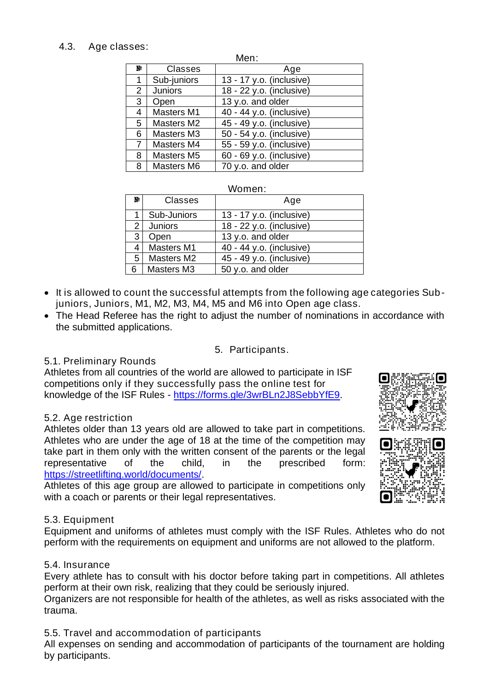## **4.3. Age classes:**

| Men:         |                   |                          |
|--------------|-------------------|--------------------------|
| Ŋ.           | <b>Classes</b>    | Age                      |
| 1            | Sub-juniors       | 13 - 17 y.o. (inclusive) |
| $\mathbf{2}$ | <b>Juniors</b>    | 18 - 22 y.o. (inclusive) |
| 3            | Open              | 13 y.o. and older        |
| 4            | <b>Masters M1</b> | 40 - 44 y.o. (inclusive) |
| 5            | <b>Masters M2</b> | 45 - 49 y.o. (inclusive) |
| 6            | <b>Masters M3</b> | 50 - 54 y.o. (inclusive) |
| 7            | <b>Masters M4</b> | 55 - 59 y.o. (inclusive) |
| 8            | <b>Masters M5</b> | 60 - 69 y.o. (inclusive) |
| 8            | <b>Masters M6</b> | 70 y.o. and older        |

#### **Women:**

| y.           | <b>Classes</b>     | Age                      |
|--------------|--------------------|--------------------------|
|              | <b>Sub-Juniors</b> | 13 - 17 y.o. (inclusive) |
| $\mathbf{2}$ | <b>Juniors</b>     | 18 - 22 y.o. (inclusive) |
| 3            | Open               | 13 y.o. and older        |
| 4            | <b>Masters M1</b>  | 40 - 44 y.o. (inclusive) |
| 5.           | <b>Masters M2</b>  | 45 - 49 y.o. (inclusive) |
| 6            | <b>Masters M3</b>  | 50 y.o. and older        |

- **It is allowed to count the successful attempts from the following age categories Subjuniors, Juniors, M1, M2, M3, M4, M5 and M6 into Open age class.**
- **The Head Referee has the right to adjust the number of nominations in accordance with the submitted applications.**

### **5. Participants.**

### **5.1. Preliminary Rounds**

**Athletes from all countries of the world are allowed to participate in ISF competitions only if they successfully pass the online test for knowledge of the ISF Rules - <https://forms.gle/3wrBLn2J8SebbYfE9>**.

### **5.2. Age restriction**

**Athletes older than 13 years old are allowed to take part in competitions. Athletes who are under the age of 18 at the time of the competition may take part in them only with the written consent of the parents or the legal representative of the child, in the prescribed form: [https://streetlifting.world/documents/.](https://streetlifting.world/documents/)** 

**Athletes of this age group are allowed to participate in competitions only with a coach or parents or their legal representatives.**

### **5.3. Equipment**

**Equipment and uniforms of athletes must comply with the ISF Rules. Athletes who do not perform with the requirements on equipment and uniforms are not allowed to the platform.**

### **5.4. Insurance**

**Every athlete has to consult with his doctor before taking part in competitions. All athletes perform at their own risk, realizing that they could be seriously injured.** 

**Organizers are not responsible for health of the athletes, as well as risks associated with the trauma.**

## **5.5. Travel and accommodation of participants**

**All expenses on sending and accommodation of participants of the tournament are holding by participants.**



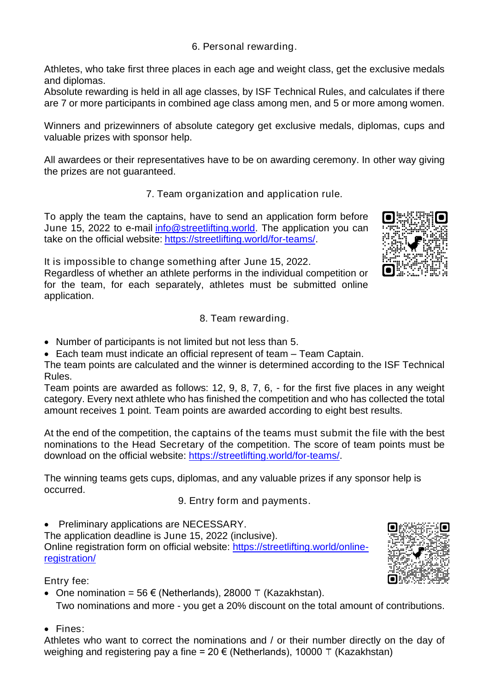**6. Personal rewarding.**

**Athletes, who take first three places in each age and weight class, get the exclusive medals and diplomas.** 

**Absolute rewarding is held in all age classes, by ISF Technical Rules, and calculates if there are 7 or more participants in combined age class among men, and 5 or more among women.** 

**Winners and prizewinners of absolute category get exclusive medals, diplomas, cups and valuable prizes with sponsor help.**

**All awardees or their representatives have to be on awarding ceremony. In other way giving the prizes are not guaranteed.**

**7. Team organization and application rule.**

**To apply the team the captains, have to send an application form before June 15, 2022 to e-mail [info@streetlifting.world.](mailto:info@streetlifting.world) The application you can take on the official website: [https://streetlifting.world/for-teams/.](https://streetlifting.world/for-teams/)** 



**It is impossible to change something after June 15, 2022. Regardless of whether an athlete performs in the individual competition or for the team, for each separately, athletes must be submitted online application.**

- **8. Team rewarding.**
- **Number of participants is not limited but not less than 5.**
- **Each team must indicate an official represent of team – Team Captain.**

**The team points are calculated and the winner is determined according to the ISF Technical Rules.**

**Team points are awarded as follows: 12, 9, 8, 7, 6, - for the first five places in any weight category. Every next athlete who has finished the competition and who has collected the total amount receives 1 point. Team points are awarded according to eight best results.** 

**At the end of the competition, the captains of the teams must submit the file with the best nominations to the Head Secretary of the competition. The score of team points must be download on the official website: [https://streetlifting.world/for-teams/.](https://streetlifting.world/for-teams/)**

**The winning teams gets cups, diplomas, and any valuable prizes if any sponsor help is occurred.**

**9. Entry form and payments.**

• **Preliminary applications are NECESSARY.**

**The application deadline is June 15, 2022 (inclusive). Online registration form on official website: [https://streetlifting.world/online](https://streetlifting.world/online-registration/)[registration/](https://streetlifting.world/online-registration/)**

## **Entry fee:**

- **One nomination = 56 € (Netherlands), 28000** ₸ **(Kazakhstan). Two nominations and more - you get a 20% discount on the total amount of contributions.**
- **Fines:**

**Athletes who want to correct the nominations and / or their number directly on the day of weighing and registering pay a fine = 20 € (Netherlands), 10000** ₸ **(Kazakhstan)**

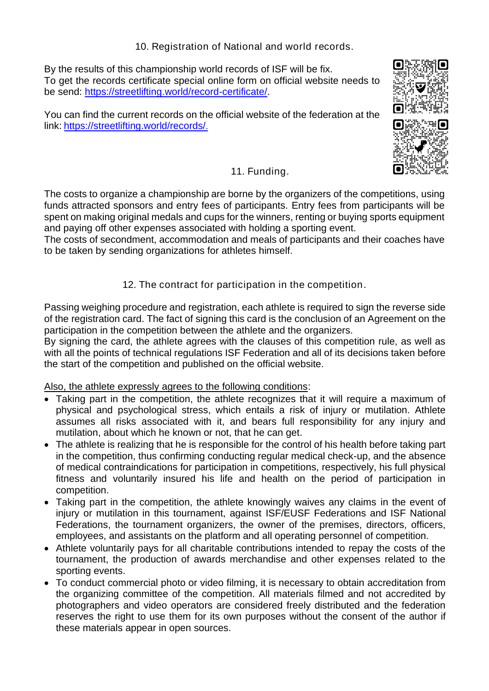**10. Registration of National and world records.**

**By the results of this championship world records of ISF will be fix. To get the records certificate special online form on official website needs to be send: [https://streetlifting.world/record-certificate/.](https://streetlifting.world/record-certificate/)** 

**You can find the current records on the official website of the federation at the link: https://streetlifting.world/records/**.



o



# **11. Funding.**

**The costs to organize a championship are borne by the organizers of the competitions, using funds attracted sponsors and entry fees of participants. Entry fees from participants will be spent on making original medals and cups for the winners, renting or buying sports equipment and paying off other expenses associated with holding a sporting event.**

**The costs of secondment, accommodation and meals of participants and their coaches have to be taken by sending organizations for athletes himself.**

## **12. The contract for participation in the competition.**

**Passing weighing procedure and registration, each athlete is required to sign the reverse side of the registration card. The fact of signing this card is the conclusion of an Agreement on the participation in the competition between the athlete and the organizers.**

**By signing the card, the athlete agrees with the clauses of this competition rule, as well as with all the points of technical regulations ISF Federation and all of its decisions taken before the start of the competition and published on the official website.**

### **Also, the athlete expressly agrees to the following conditions:**

- **Taking part in the competition, the athlete recognizes that it will require a maximum of physical and psychological stress, which entails a risk of injury or mutilation. Athlete assumes all risks associated with it, and bears full responsibility for any injury and mutilation, about which he known or not, that he can get.**
- **The athlete is realizing that he is responsible for the control of his health before taking part in the competition, thus confirming conducting regular medical check-up, and the absence of medical contraindications for participation in competitions, respectively, his full physical fitness and voluntarily insured his life and health on the period of participation in competition.**
- **Taking part in the competition, the athlete knowingly waives any claims in the event of injury or mutilation in this tournament, against ISF/EUSF Federations and ISF National Federations, the tournament organizers, the owner of the premises, directors, officers, employees, and assistants on the platform and all operating personnel of competition.**
- **Athlete voluntarily pays for all charitable contributions intended to repay the costs of the tournament, the production of awards merchandise and other expenses related to the sporting events.**
- **To conduct commercial photo or video filming, it is necessary to obtain accreditation from the organizing committee of the competition. All materials filmed and not accredited by photographers and video operators are considered freely distributed and the federation reserves the right to use them for its own purposes without the consent of the author if these materials appear in open sources.**